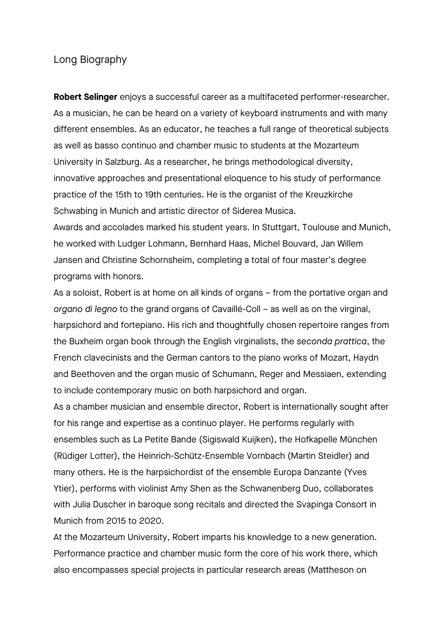## Long Biography

**Robert Selinger** enjoys a successful career as a multifaceted performer-researcher. As a musician, he can be heard on a variety of keyboard instruments and with many different ensembles. As an educator, he teaches a full range of theoretical subjects as well as basso continuo and chamber music to students at the Mozarteum University in Salzburg. As a researcher, he brings methodological diversity, innovative approaches and presentational eloquence to his study of performance practice of the 15th to 19th centuries. He is the organist of the Kreuzkirche Schwabing in Munich and artistic director of Siderea Musica.

Awards and accolades marked his student years. In Stuttgart, Toulouse and Munich, he worked with Ludger Lohmann, Bernhard Haas, Michel Bouvard, Jan Willem Jansen and Christine Schornsheim, completing a total of four master's degree programs with honors.

As a soloist, Robert is at home on all kinds of organs – from the portative organ and *organo di legno* to the grand organs of Cavaillé-Coll – as well as on the virginal, harpsichord and fortepiano. His rich and thoughtfully chosen repertoire ranges from the Buxheim organ book through the English virginalists, the *seconda prattica*, the French clavecinists and the German cantors to the piano works of Mozart, Haydn and Beethoven and the organ music of Schumann, Reger and Messiaen, extending to include contemporary music on both harpsichord and organ.

As a chamber musician and ensemble director, Robert is internationally sought after for his range and expertise as a continuo player. He performs regularly with ensembles such as La Petite Bande (Sigiswald Kuijken), the Hofkapelle München (Rüdiger Lotter), the Heinrich-Schütz-Ensemble Vornbach (Martin Steidler) and many others. He is the harpsichordist of the ensemble Europa Danzante (Yves Ytier), performs with violinist Amy Shen as the Schwanenberg Duo, collaborates with Julia Duscher in baroque song recitals and directed the Svapinga Consort in Munich from 2015 to 2020.

At the Mozarteum University, Robert imparts his knowledge to a new generation. Performance practice and chamber music form the core of his work there, which also encompasses special projects in particular research areas (Mattheson on